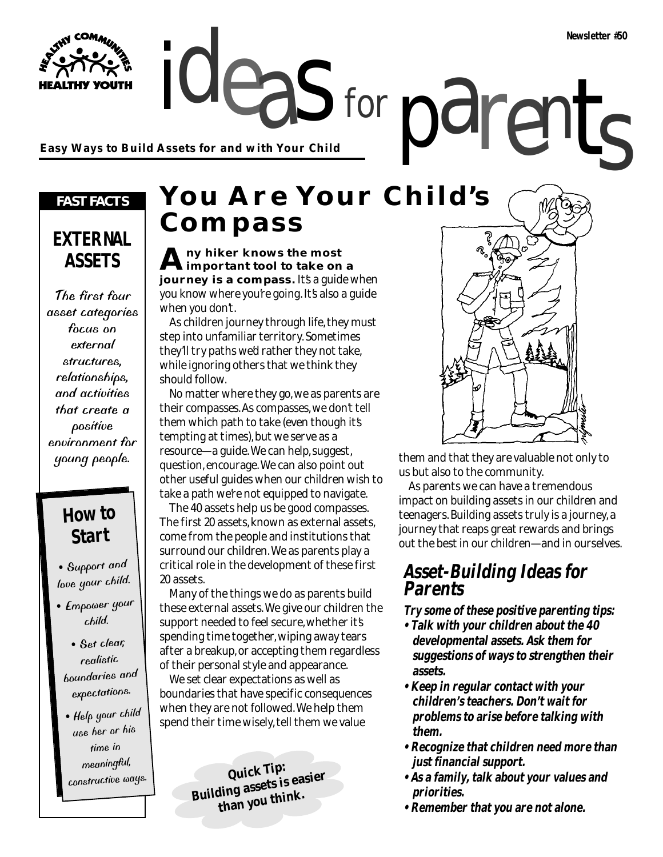**Easy Ways to Build Assets for and with Your Child**

### *FAST FACTS*

# **EXTERNAL ASSETS**

The first four asset categories focus on external structures, relationships, and activities that create a positive environment for young people.

# **How to Start**

• Support an<sup>d</sup> love your child.

- Empower your child.
- Set clear, realistic boundaries an<sup>d</sup> expectations.

• Help your child use her or his time in meaningful, constructive ways.

# ideas for parents **You Are Your Child's Compass**

for

**Any hiker knows the most important tool to take on a journey is a compass.** It's a guide when you know where you're going. It's also a guide when you don't.

As children journey through life, they must step into unfamiliar territory. Sometimes they'll try paths we'd rather they not take, while ignoring others that we think they should follow.

No matter where they go, we as parents are their compasses. As compasses, we don't tell them which path to take (even though it's tempting at times), but we serve as a resource—a guide. We can help, suggest, question, encourage. We can also point out other useful guides when our children wish to take a path we're not equipped to navigate.

The 40 assets help us be good compasses. The first 20 assets, known as external assets, come from the people and institutions that surround our children. We as parents play a critical role in the development of these first 20 assets.

Many of the things we do as parents build these external assets. We give our children the support needed to feel secure, whether it's spending time together, wiping away tears after a breakup, or accepting them regardless of their personal style and appearance.

We set clear expectations as well as boundaries that have specific consequences when they are not followed. We help them spend their time wisely, tell them we value

> **Quick Tip: Building assets is easier than you think.**



them and that they are valuable not only to us but also to the community.

As parents we can have a tremendous impact on building assets in our children and teenagers. Building assets truly is a journey, a journey that reaps great rewards and brings out the best in our children—and in ourselves.

## **Asset-Building Ideas for Parents**

**Try some of these positive parenting tips:**

- **Talk with your children about the 40 developmental assets. Ask them for suggestions of ways to strengthen their assets.**
- **Keep in regular contact with your children's teachers. Don't wait for problems to arise before talking with them.**
- **Recognize that children need more than just financial support.**
- **As a family, talk about your values and priorities.**
- **Remember that you are not alone.**